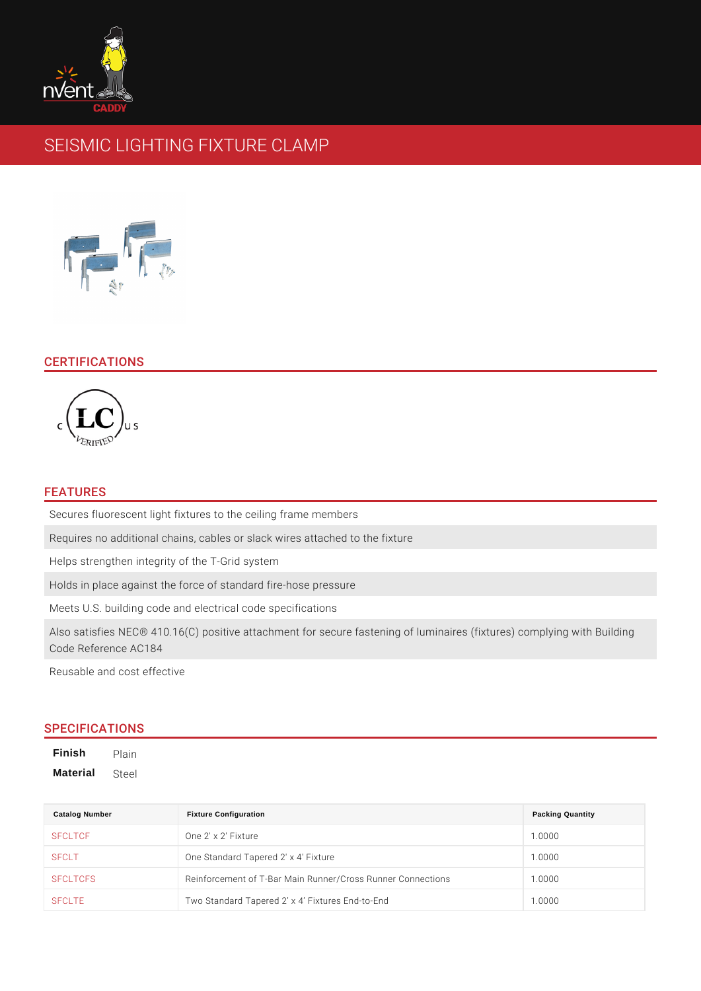# SEISMIC LIGHTING FIXTURE CLAMP

# CERTIFICATIONS

#### FEATURES

Secures fluorescent light fixtures to the ceiling frame members Requires no additional chains, cables or slack wires attached to the fixture Helps strengthen integrity of the T-Grid system Holds in place against the force of standard fire-hose pressure Meets U.S. building code and electrical code specifications Also satisfies NEC® 410.16(C) positive attachment for secure fastening of lumin Code Reference AC184

Reusable and cost effective

# SPECIFICATIONS

Finish Plain Material Steel

| Catalog Number  | <b>Fixture Configuration</b>                                    | <b>Packing Quantity</b> |
|-----------------|-----------------------------------------------------------------|-------------------------|
| <b>SFCLTCF</b>  | One 2' x 2' Fixture                                             | 1.0000                  |
| <b>SFCLT</b>    | One Standard Tapered 2' x 4' Fixture                            | 1.0000                  |
| <b>SFCLTCFS</b> | Reinforcement of T-Bar Main Runner/Cross Runner 1C 0000 ections |                         |
| SFCLTE          | Two Standard Tapered 2 x 4 Fixtures End-to-End 1.0000           |                         |